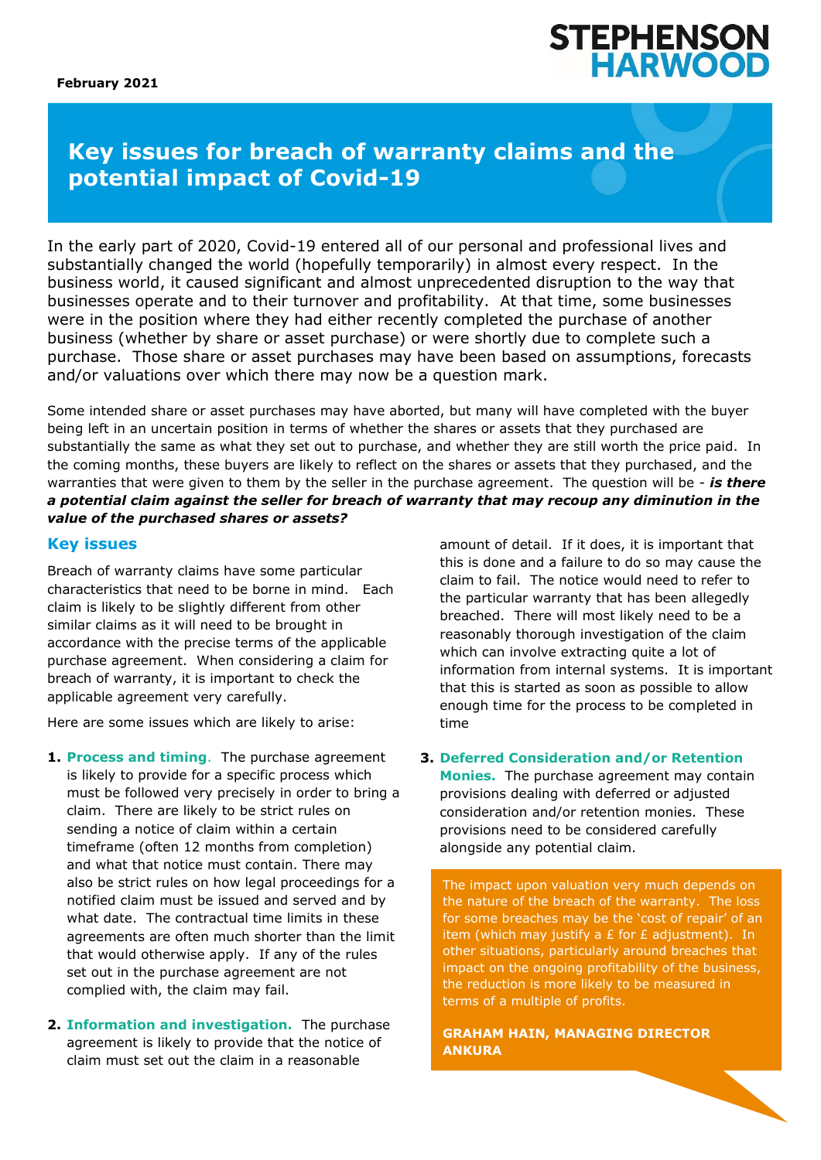# **STEPHENSON HARWOO**

## **Key issues for breach of warranty claims and the potential impact of Covid-19**

In the early part of 2020, Covid-19 entered all of our personal and professional lives and substantially changed the world (hopefully temporarily) in almost every respect. In the business world, it caused significant and almost unprecedented disruption to the way that businesses operate and to their turnover and profitability. At that time, some businesses were in the position where they had either recently completed the purchase of another business (whether by share or asset purchase) or were shortly due to complete such a purchase. Those share or asset purchases may have been based on assumptions, forecasts and/or valuations over which there may now be a question mark.

Some intended share or asset purchases may have aborted, but many will have completed with the buyer being left in an uncertain position in terms of whether the shares or assets that they purchased are substantially the same as what they set out to purchase, and whether they are still worth the price paid. In the coming months, these buyers are likely to reflect on the shares or assets that they purchased, and the warranties that were given to them by the seller in the purchase agreement. The question will be - *is there a potential claim against the seller for breach of warranty that may recoup any diminution in the value of the purchased shares or assets?*

### **Key issues**

Breach of warranty claims have some particular characteristics that need to be borne in mind. Each claim is likely to be slightly different from other similar claims as it will need to be brought in accordance with the precise terms of the applicable purchase agreement. When considering a claim for breach of warranty, it is important to check the applicable agreement very carefully.

Here are some issues which are likely to arise:

- **1. Process and timing**. The purchase agreement is likely to provide for a specific process which must be followed very precisely in order to bring a claim. There are likely to be strict rules on sending a notice of claim within a certain timeframe (often 12 months from completion) and what that notice must contain. There may also be strict rules on how legal proceedings for a notified claim must be issued and served and by what date. The contractual time limits in these agreements are often much shorter than the limit that would otherwise apply. If any of the rules set out in the purchase agreement are not complied with, the claim may fail.
- **2. Information and investigation.** The purchase agreement is likely to provide that the notice of claim must set out the claim in a reasonable

amount of detail. If it does, it is important that this is done and a failure to do so may cause the claim to fail. The notice would need to refer to the particular warranty that has been allegedly breached. There will most likely need to be a reasonably thorough investigation of the claim which can involve extracting quite a lot of information from internal systems. It is important that this is started as soon as possible to allow enough time for the process to be completed in time

**3. Deferred Consideration and/or Retention Monies.** The purchase agreement may contain provisions dealing with deferred or adjusted consideration and/or retention monies. These

provisions need to be considered carefully alongside any potential claim.

The impact upon valuation very much depends on the nature of the breach of the warranty. The loss for some breaches may be the 'cost of repair' of an item (which may justify a  $E$  for  $E$  adjustment). In other situations, particularly around breaches that impact on the ongoing profitability of the business, the reduction is more likely to be measured in terms of a multiple of profits.

**GRAHAM HAIN, MANAGING DIRECTOR ANKURA**